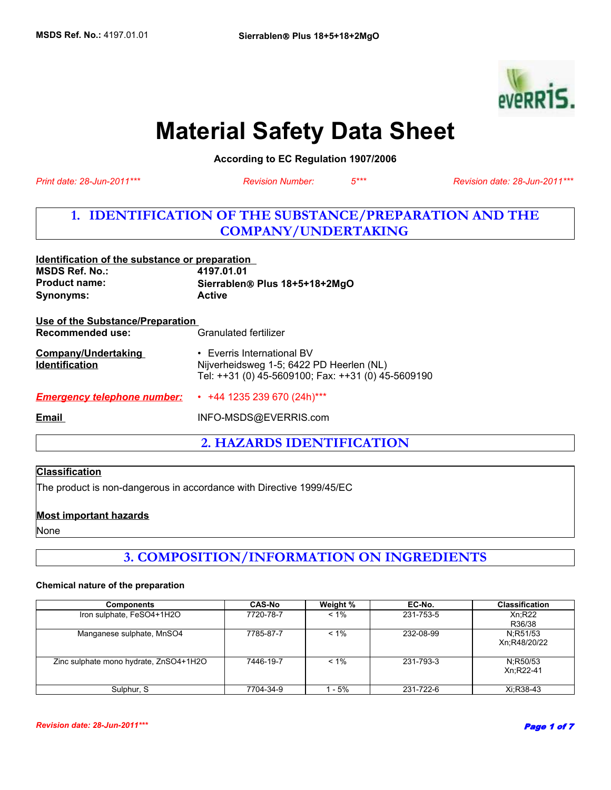

# **Material Safety Data Sheet**

**According to EC Regulation 1907/2006** 

*Revision Number: 5\*\*\**

*Print date: 28-Jun-2011\*\*\* Revision date: 28-Jun-2011\*\*\**

# **1. IDENTIFICATION OF THE SUBSTANCE/PREPARATION AND THE COMPANY/UNDERTAKING**

| Identification of the substance or preparation |                                                    |
|------------------------------------------------|----------------------------------------------------|
| <b>MSDS Ref. No.:</b>                          | 4197.01.01                                         |
| <b>Product name:</b>                           | Sierrablen <sup>®</sup> Plus 18+5+18+2MgO          |
| <b>Synonyms:</b>                               | <b>Active</b>                                      |
| Use of the Substance/Preparation               |                                                    |
| Recommended use:                               | Granulated fertilizer                              |
| <b>Company/Undertaking</b>                     | • Everris International BV                         |
| <b>Identification</b>                          | Nijverheidsweg 1-5; 6422 PD Heerlen (NL)           |
|                                                | Tel: ++31 (0) 45-5609100; Fax: ++31 (0) 45-5609190 |
| <b>Emergency telephone number:</b>             | $\cdot$ +44 1235 239 670 (24h)***                  |
| Email                                          | INFO-MSDS@EVERRIS.com                              |
|                                                |                                                    |

**2. HAZARDS IDENTIFICATION**

#### **Classification**

The product is non-dangerous in accordance with Directive 1999/45/EC

#### **Most important hazards**

None

# **3. COMPOSITION/INFORMATION ON INGREDIENTS**

#### **Chemical nature of the preparation**

| <b>Components</b>                      | <b>CAS-No</b> | Weight % | EC-No.    | <b>Classification</b>    |
|----------------------------------------|---------------|----------|-----------|--------------------------|
| Iron sulphate, FeSO4+1H2O              | 7720-78-7     | $< 1\%$  | 231-753-5 | Xn:R22<br>R36/38         |
| Manganese sulphate, MnSO4              | 7785-87-7     | $< 1\%$  | 232-08-99 | N:R51/53<br>Xn:R48/20/22 |
| Zinc sulphate mono hydrate, ZnSO4+1H2O | 7446-19-7     | $< 1\%$  | 231-793-3 | N:R50/53<br>Xn:R22-41    |
| Sulphur, S                             | 7704-34-9     | - 5%     | 231-722-6 | Xi:R38-43                |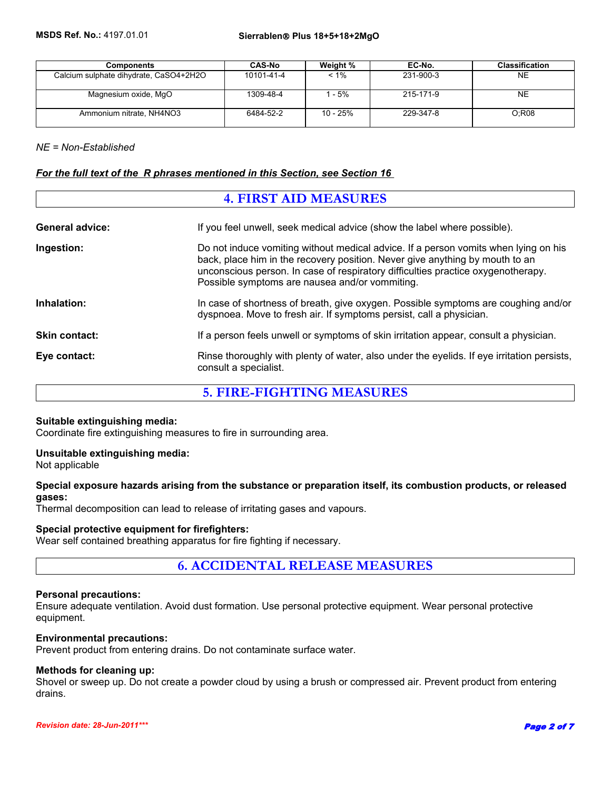| <b>Components</b>                      | <b>CAS-No</b> | Weight % | EC-No.    | <b>Classification</b> |
|----------------------------------------|---------------|----------|-----------|-----------------------|
| Calcium sulphate dihydrate, CaSO4+2H2O | 10101-41-4    | $< 1\%$  | 231-900-3 | <b>NE</b>             |
| Magnesium oxide, MgO                   | 1309-48-4     | - 5%     | 215-171-9 | <b>NE</b>             |
| Ammonium nitrate, NH4NO3               | 6484-52-2     | 10 - 25% | 229-347-8 | O:R08                 |

#### *NE = Non-Established*

#### *For the full text of the R phrases mentioned in this Section, see Section 16*

| <b>4. FIRST AID MEASURES</b> |                                                                                                                                                                                                                                                                                                           |  |
|------------------------------|-----------------------------------------------------------------------------------------------------------------------------------------------------------------------------------------------------------------------------------------------------------------------------------------------------------|--|
| <b>General advice:</b>       | If you feel unwell, seek medical advice (show the label where possible).                                                                                                                                                                                                                                  |  |
| Ingestion:                   | Do not induce vomiting without medical advice. If a person vomits when lying on his<br>back, place him in the recovery position. Never give anything by mouth to an<br>unconscious person. In case of respiratory difficulties practice oxygenotherapy.<br>Possible symptoms are nausea and/or vommiting. |  |
| Inhalation:                  | In case of shortness of breath, give oxygen. Possible symptoms are coughing and/or<br>dyspnoea. Move to fresh air. If symptoms persist, call a physician.                                                                                                                                                 |  |
| <b>Skin contact:</b>         | If a person feels unwell or symptoms of skin irritation appear, consult a physician.                                                                                                                                                                                                                      |  |
| Eye contact:                 | Rinse thoroughly with plenty of water, also under the eyelids. If eye irritation persists,<br>consult a specialist.                                                                                                                                                                                       |  |

**5. FIRE-FIGHTING MEASURES**

#### **Suitable extinguishing media:**

Coordinate fire extinguishing measures to fire in surrounding area.

#### **Unsuitable extinguishing media:**

Not applicable

#### **Special exposure hazards arising from the substance or preparation itself, its combustion products, or released gases:**

Thermal decomposition can lead to release of irritating gases and vapours.

#### **Special protective equipment for firefighters:**

Wear self contained breathing apparatus for fire fighting if necessary.

**6. ACCIDENTAL RELEASE MEASURES**

#### **Personal precautions:**

Ensure adequate ventilation. Avoid dust formation. Use personal protective equipment. Wear personal protective equipment.

#### **Environmental precautions:**

Prevent product from entering drains. Do not contaminate surface water.

#### **Methods for cleaning up:**

Shovel or sweep up. Do not create a powder cloud by using a brush or compressed air. Prevent product from entering drains.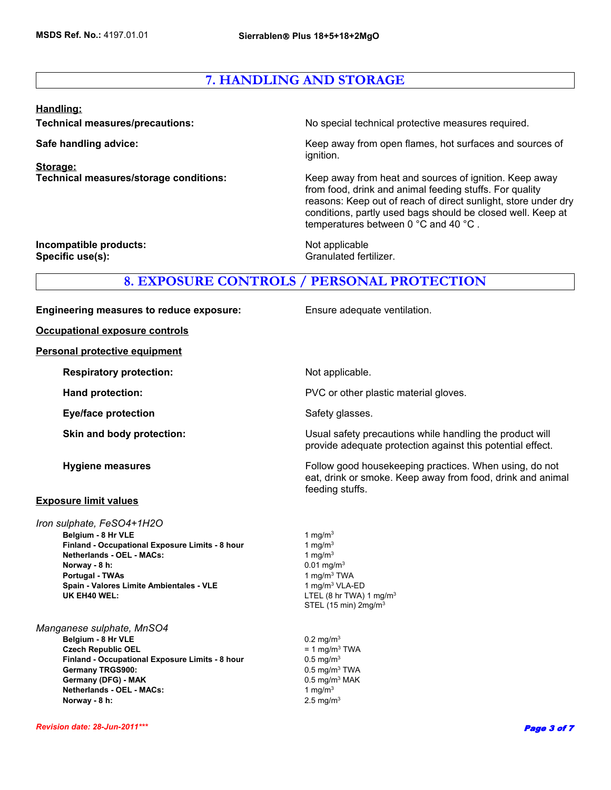# **7. HANDLING AND STORAGE**

#### **Handling:**

**Storage:**

**Technical measures/precautions:** No special technical protective measures required.

**Safe handling advice:** Keep away from open flames, hot surfaces and sources of ignition.

**Technical measures/storage conditions:** Keep away from heat and sources of ignition. Keep away from food, drink and animal feeding stuffs. For quality reasons: Keep out of reach of direct sunlight, store under dry conditions, partly used bags should be closed well. Keep at temperatures between 0 °C and 40 °C .

provide adequate protection against this potential effect.

eat, drink or smoke. Keep away from food, drink and animal

**Incompatible products:** Not applicable **Specific use(s):** Granulated fertilizer.

### **8. EXPOSURE CONTROLS / PERSONAL PROTECTION**

**Engineering measures to reduce exposure:** Ensure adequate ventilation.

**Occupational exposure controls**

**Personal protective equipment**

**Respiratory protection:** Not applicable.

**Hand protection: EXECUTE:** PVC or other plastic material gloves.

**Eye/face protection** Safety glasses.

**Skin and body protection:** Usual safety precautions while handling the product will

**Hygiene measures Follow good housekeeping practices. When using, do not all the state of the Follow good housekeeping practices. When using, do not** 

#### **Exposure limit values**

**Netherlands - OEL - MACs:** 1 mg/m<sup>3</sup> **Norway - 8 h:** 0.01 mg/m<sup>3</sup> **Belgium - 8 Hr VLE** 1 mg/m<sup>3</sup>  **Portugal - TWAs**  *Iron sulphate, FeSO4+1H2O* **Spain - Valores Limite Ambientales - VLE** 1 mg/m<sup>3</sup> VLA-ED  **Finland - Occupational Exposure Limits - 8 hour UK EH40 WEL:** LTEL (8 hr TWA) 1 mg/m<sup>3</sup>

*Manganese sulphate, MnSO4* **Belgium - 8 Hr VLE** 0.2 mg/m<sup>3</sup> **Czech Republic OEL**  $= 1$  mg/m<sup>3</sup> TWA **Finland - Occupational Exposure Limits - 8 hour** 0.5 mg/m<sup>3</sup> Germany TRGS900: **Canadian Canadian Canadian Canadian Canadian Canadian Canadian Canadian Canadian Canadian Canadian Canadian Canadian Canadian Canadian Canadian Canadian Canadian Canadian Canadian Canadian Canadian Canadi** Germany (DFG) - MAK **Disk and ACC** 0.5 mg/m<sup>3</sup> MAK **Netherlands - OEL - MACs:** 1 mg/m<sup>3</sup> **Norway - 8 h:** 2.5 mg/m<sup>3</sup>

1 mg/ $m<sup>3</sup>$ 1 mg/m3 TWA STEL (15 min) 2mg/m3

feeding stuffs.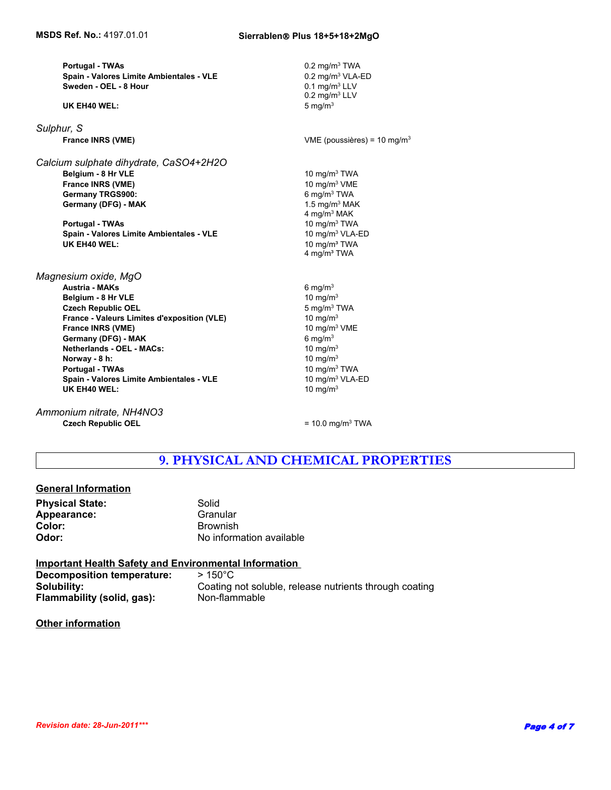**Sweden - OEL - 8 Hour Portugal - TWAs** 0.2 mg/m3 TWA  **Spain - Valores Limite Ambientales - VLE**

**UK EH40 WEL:** 5 mg/m3

*Sulphur, S*  **France INRS (VME)**

**France INRS (VME)** 10 mg/m<sup>3</sup> VME  **Germany TRGS900: Germany (DFG) - MAK** 1.5 mg/m<sup>3</sup> MAK *Calcium sulphate dihydrate, CaSO4+2H2O*  **Belgium - 8 Hr VLE** 10 mg/m3 TWA

 **Portugal - TWAs** 10 mg/m3 TWA **Spain - Valores Limite Ambientales - VLE** 10 mg/m<sup>3</sup> VLA-ED<br>**UK EH40 WEL:** 10 mg/m<sup>3</sup> TWA

**Netherlands - OEL - MACs:** 10 mg/m<sup>3</sup> **Norway - 8 h:** 10 mg/m<sup>3</sup>  **Portugal - TWAs** 10 mg/m3 TWA **Spain - Valores Limite Ambientales - VLE** 10 mg/m<sup>3</sup> VLA-ED **UK EH40 WEL:** 10 mg/m<sup>3</sup> *Magnesium oxide, MgO*  **Austria - MAKs** 6 mg/m3 **Belgium - 8 Hr VLE** 10 mg/m<sup>3</sup>  **Czech Republic OEL** 5 mg/m3 TWA **France - Valeurs Limites d'exposition (VLE)** 10 mg/m<sup>3</sup>  **France INRS (VME) Germany (DFG) - MAK** 6 mg/m<sup>3</sup>

*Ammonium nitrate, NH4NO3* **Czech Republic OEL** = 10.0 mg/m<sup>3</sup> TWA

 $0.1$  mg/m<sup>3</sup> LLV 0.2 mg/m3 LLV 6 mg/m3 TWA 4 mg/m3 MAK **10 mg/m<sup>3</sup> TWA** 4 mg/m<sup>3</sup> TWA VME (poussières) =  $10 \text{ mg/m}^3$ 0.2 mg/m3 VLA-ED

10 mg/m3 VME

### **9. PHYSICAL AND CHEMICAL PROPERTIES**

#### **General Information**

**Physical State:** Solid **Appearance:** Granular Granular<br> **Color:** Granular Brownish

**Color:** Brownish **Odor:** No information available

#### **Important Health Safety and Environmental Information Decomposition temperature:** > 150°C **Solubility:** Coating not soluble, release nutrients through coating of the Coating content of the Coating of the Co **Flammability (solid, gas):** Non-flammable

#### **Other information**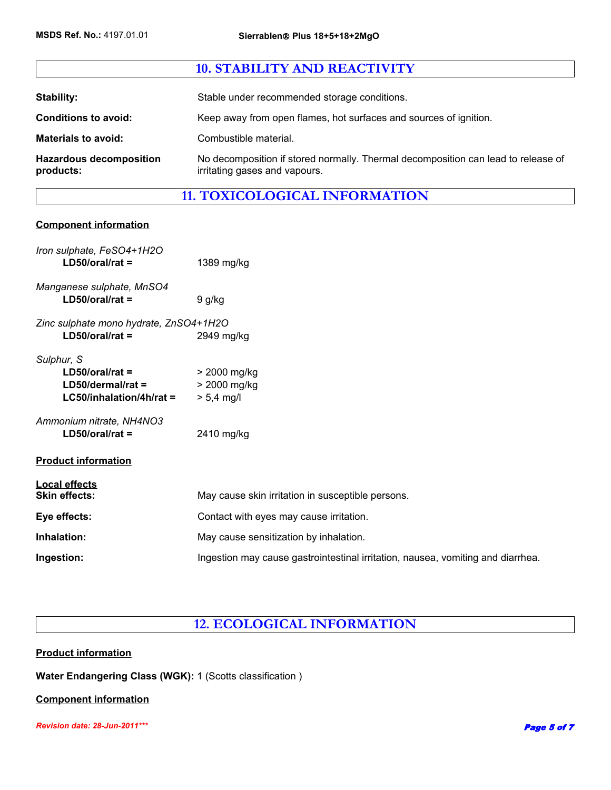|                                             | <b>10. STABILITY AND REACTIVITY</b>                                                                                |
|---------------------------------------------|--------------------------------------------------------------------------------------------------------------------|
|                                             |                                                                                                                    |
| Stability:                                  | Stable under recommended storage conditions.                                                                       |
| <b>Conditions to avoid:</b>                 | Keep away from open flames, hot surfaces and sources of ignition.                                                  |
| <b>Materials to avoid:</b>                  | Combustible material.                                                                                              |
| <b>Hazardous decomposition</b><br>products: | No decomposition if stored normally. Thermal decomposition can lead to release of<br>irritating gases and vapours. |

# **11. TOXICOLOGICAL INFORMATION**

#### **Component information**

| Iron sulphate, FeSO4+1H2O<br>$LD50/oral/rat =$                                       | 1389 mg/kg                                                                      |
|--------------------------------------------------------------------------------------|---------------------------------------------------------------------------------|
| Manganese sulphate, MnSO4<br>$LD50/oral/rat =$                                       | 9 g/kg                                                                          |
| Zinc sulphate mono hydrate, ZnSO4+1H2O<br>$LD50/oral/rat =$                          | 2949 mg/kg                                                                      |
| Sulphur, S<br>$LD50/oral/rat =$<br>$LD50/dermal/rat =$<br>$LG50/inhalation/4h/rat =$ | > 2000 mg/kg<br>> 2000 mg/kg<br>$> 5,4$ mg/l                                    |
| Ammonium nitrate, NH4NO3<br>$LD50/oral/rat =$                                        | 2410 mg/kg                                                                      |
| <b>Product information</b>                                                           |                                                                                 |
| <b>Local effects</b><br><b>Skin effects:</b>                                         | May cause skin irritation in susceptible persons.                               |
| Eye effects:                                                                         | Contact with eyes may cause irritation.                                         |
| Inhalation:                                                                          | May cause sensitization by inhalation.                                          |
| Ingestion:                                                                           | Ingestion may cause gastrointestinal irritation, nausea, vomiting and diarrhea. |

# **12. ECOLOGICAL INFORMATION**

#### **Product information**

**Water Endangering Class (WGK):** 1 (Scotts classification )

#### **Component information**

*Revision date: 28-Jun-2011\*\*\**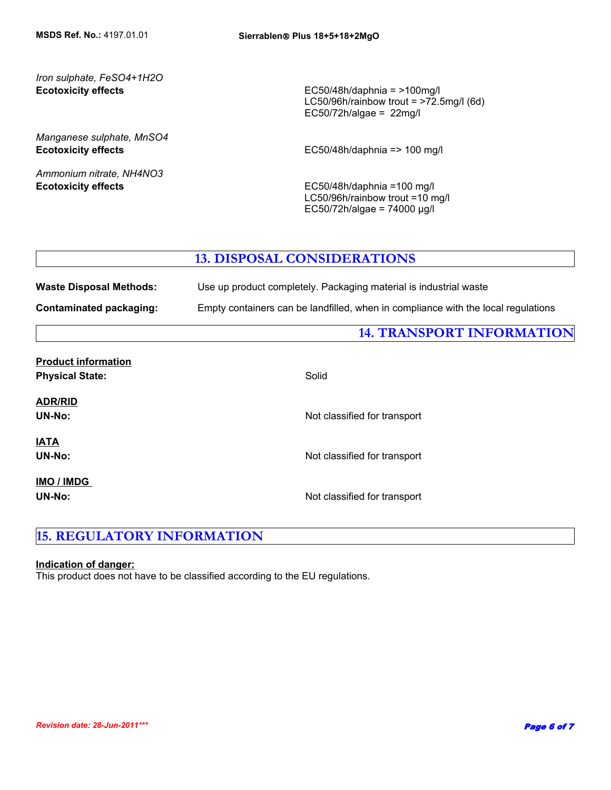#### **Ecotoxicity effects** *Iron sulphate, FeSO4+1H2O*

*Manganese sulphate, MnSO4*

*Ammonium nitrate, NH4NO3*

EC50/48h/daphnia = >100mg/l LC50/96h/rainbow trout = >72.5mg/l (6d) EC50/72h/algae =  $22$ mg/l

**Ecotoxicity effects EC50/48h/daphnia => 100 mg/l** 

**Ecotoxicity effects** EC50/48h/daphnia =100 mg/l LC50/96h/rainbow trout =10 mg/l EC50/72h/algae = 74000 µg/l

### **13. DISPOSAL CONSIDERATIONS**

| <b>Waste Disposal Methods:</b> | Use up product completely. Packaging material is industrial waste                 |
|--------------------------------|-----------------------------------------------------------------------------------|
| Contaminated packaging:        | Empty containers can be landfilled, when in compliance with the local regulations |

### **14. TRANSPORT INFORMATION**

| FIUUUUL IIIIUI IIIAUUII     |                              |
|-----------------------------|------------------------------|
| <b>Physical State:</b>      | Solid                        |
| <b>ADR/RID</b><br>UN-No:    | Not classified for transport |
| <b>IATA</b><br>UN-No:       | Not classified for transport |
| IMO / IMDG<br><b>UN-No:</b> | Not classified for transport |

# **15. REGULATORY INFORMATION**

#### **Indication of danger:**

**Product information**

This product does not have to be classified according to the EU regulations.